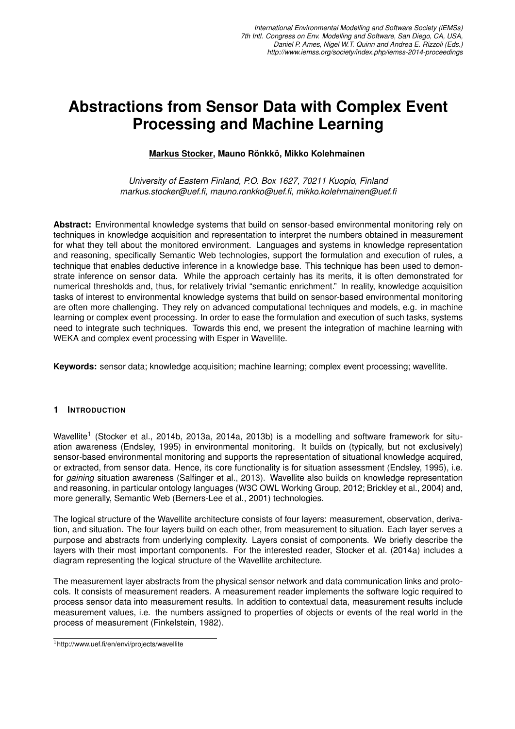# **Abstractions from Sensor Data with Complex Event Processing and Machine Learning**

### **Markus Stocker, Mauno Ronkk ¨ o, Mikko Kolehmainen ¨**

*University of Eastern Finland, P.O. Box 1627, 70211 Kuopio, Finland markus.stocker@uef.fi, mauno.ronkko@uef.fi, mikko.kolehmainen@uef.fi*

**Abstract:** Environmental knowledge systems that build on sensor-based environmental monitoring rely on techniques in knowledge acquisition and representation to interpret the numbers obtained in measurement for what they tell about the monitored environment. Languages and systems in knowledge representation and reasoning, specifically Semantic Web technologies, support the formulation and execution of rules, a technique that enables deductive inference in a knowledge base. This technique has been used to demonstrate inference on sensor data. While the approach certainly has its merits, it is often demonstrated for numerical thresholds and, thus, for relatively trivial "semantic enrichment." In reality, knowledge acquisition tasks of interest to environmental knowledge systems that build on sensor-based environmental monitoring are often more challenging. They rely on advanced computational techniques and models, e.g. in machine learning or complex event processing. In order to ease the formulation and execution of such tasks, systems need to integrate such techniques. Towards this end, we present the integration of machine learning with WEKA and complex event processing with Esper in Wavellite.

**Keywords:** sensor data; knowledge acquisition; machine learning; complex event processing; wavellite.

#### **1 INTRODUCTION**

Wavellite<sup>1</sup> (Stocker et al., 2014b, 2013a, 2014a, 2013b) is a modelling and software framework for situation awareness (Endsley, 1995) in environmental monitoring. It builds on (typically, but not exclusively) sensor-based environmental monitoring and supports the representation of situational knowledge acquired, or extracted, from sensor data. Hence, its core functionality is for situation assessment (Endsley, 1995), i.e. for *gaining* situation awareness (Salfinger et al., 2013). Wavellite also builds on knowledge representation and reasoning, in particular ontology languages (W3C OWL Working Group, 2012; Brickley et al., 2004) and, more generally, Semantic Web (Berners-Lee et al., 2001) technologies.

The logical structure of the Wavellite architecture consists of four layers: measurement, observation, derivation, and situation. The four layers build on each other, from measurement to situation. Each layer serves a purpose and abstracts from underlying complexity. Layers consist of components. We briefly describe the layers with their most important components. For the interested reader, Stocker et al. (2014a) includes a diagram representing the logical structure of the Wavellite architecture.

The measurement layer abstracts from the physical sensor network and data communication links and protocols. It consists of measurement readers. A measurement reader implements the software logic required to process sensor data into measurement results. In addition to contextual data, measurement results include measurement values, i.e. the numbers assigned to properties of objects or events of the real world in the process of measurement (Finkelstein, 1982).

<sup>1</sup>http://www.uef.fi/en/envi/projects/wavellite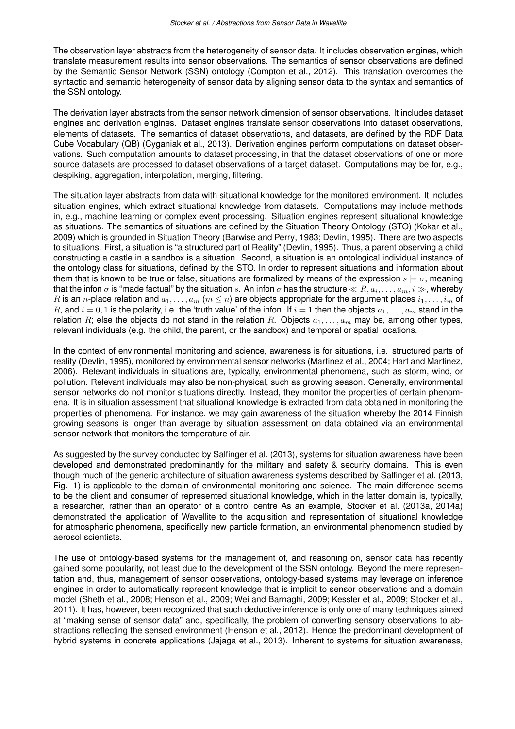The observation layer abstracts from the heterogeneity of sensor data. It includes observation engines, which translate measurement results into sensor observations. The semantics of sensor observations are defined by the Semantic Sensor Network (SSN) ontology (Compton et al., 2012). This translation overcomes the syntactic and semantic heterogeneity of sensor data by aligning sensor data to the syntax and semantics of the SSN ontology.

The derivation layer abstracts from the sensor network dimension of sensor observations. It includes dataset engines and derivation engines. Dataset engines translate sensor observations into dataset observations, elements of datasets. The semantics of dataset observations, and datasets, are defined by the RDF Data Cube Vocabulary (QB) (Cyganiak et al., 2013). Derivation engines perform computations on dataset observations. Such computation amounts to dataset processing, in that the dataset observations of one or more source datasets are processed to dataset observations of a target dataset. Computations may be for, e.g., despiking, aggregation, interpolation, merging, filtering.

The situation layer abstracts from data with situational knowledge for the monitored environment. It includes situation engines, which extract situational knowledge from datasets. Computations may include methods in, e.g., machine learning or complex event processing. Situation engines represent situational knowledge as situations. The semantics of situations are defined by the Situation Theory Ontology (STO) (Kokar et al., 2009) which is grounded in Situation Theory (Barwise and Perry, 1983; Devlin, 1995). There are two aspects to situations. First, a situation is "a structured part of Reality" (Devlin, 1995). Thus, a parent observing a child constructing a castle in a sandbox is a situation. Second, a situation is an ontological individual instance of the ontology class for situations, defined by the STO. In order to represent situations and information about them that is known to be true or false, situations are formalized by means of the expression  $s \models \sigma$ , meaning that the infon  $\sigma$  is "made factual" by the situation  $s.$  An infon  $\sigma$  has the structure  $\ll R, a_i,\ldots,a_m, i\gg,$  whereby R is an n-place relation and  $a_1, \ldots, a_m$  ( $m \leq n$ ) are objects appropriate for the argument places  $i_1, \ldots, i_m$  of R, and  $i = 0, 1$  is the polarity, i.e. the 'truth value' of the infon. If  $i = 1$  then the objects  $a_1, \ldots, a_m$  stand in the relation R; else the objects do not stand in the relation R. Objects  $a_1, \ldots, a_m$  may be, among other types, relevant individuals (e.g. the child, the parent, or the sandbox) and temporal or spatial locations.

In the context of environmental monitoring and science, awareness is for situations, i.e. structured parts of reality (Devlin, 1995), monitored by environmental sensor networks (Martinez et al., 2004; Hart and Martinez, 2006). Relevant individuals in situations are, typically, environmental phenomena, such as storm, wind, or pollution. Relevant individuals may also be non-physical, such as growing season. Generally, environmental sensor networks do not monitor situations directly. Instead, they monitor the properties of certain phenomena. It is in situation assessment that situational knowledge is extracted from data obtained in monitoring the properties of phenomena. For instance, we may gain awareness of the situation whereby the 2014 Finnish growing seasons is longer than average by situation assessment on data obtained via an environmental sensor network that monitors the temperature of air.

As suggested by the survey conducted by Salfinger et al. (2013), systems for situation awareness have been developed and demonstrated predominantly for the military and safety & security domains. This is even though much of the generic architecture of situation awareness systems described by Salfinger et al. (2013, Fig. 1) is applicable to the domain of environmental monitoring and science. The main difference seems to be the client and consumer of represented situational knowledge, which in the latter domain is, typically, a researcher, rather than an operator of a control centre As an example, Stocker et al. (2013a, 2014a) demonstrated the application of Wavellite to the acquisition and representation of situational knowledge for atmospheric phenomena, specifically new particle formation, an environmental phenomenon studied by aerosol scientists.

The use of ontology-based systems for the management of, and reasoning on, sensor data has recently gained some popularity, not least due to the development of the SSN ontology. Beyond the mere representation and, thus, management of sensor observations, ontology-based systems may leverage on inference engines in order to automatically represent knowledge that is implicit to sensor observations and a domain model (Sheth et al., 2008; Henson et al., 2009; Wei and Barnaghi, 2009; Kessler et al., 2009; Stocker et al., 2011). It has, however, been recognized that such deductive inference is only one of many techniques aimed at "making sense of sensor data" and, specifically, the problem of converting sensory observations to abstractions reflecting the sensed environment (Henson et al., 2012). Hence the predominant development of hybrid systems in concrete applications (Jajaga et al., 2013). Inherent to systems for situation awareness,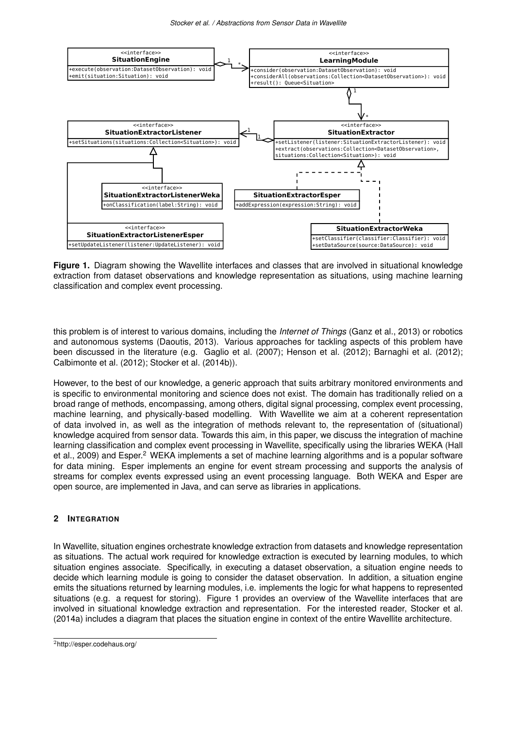

**Figure 1.** Diagram showing the Wavellite interfaces and classes that are involved in situational knowledge extraction from dataset observations and knowledge representation as situations, using machine learning classification and complex event processing.

this problem is of interest to various domains, including the *Internet of Things* (Ganz et al., 2013) or robotics and autonomous systems (Daoutis, 2013). Various approaches for tackling aspects of this problem have been discussed in the literature (e.g. Gaglio et al. (2007); Henson et al. (2012); Barnaghi et al. (2012); Calbimonte et al. (2012); Stocker et al. (2014b)).

However, to the best of our knowledge, a generic approach that suits arbitrary monitored environments and is specific to environmental monitoring and science does not exist. The domain has traditionally relied on a broad range of methods, encompassing, among others, digital signal processing, complex event processing, machine learning, and physically-based modelling. With Wavellite we aim at a coherent representation of data involved in, as well as the integration of methods relevant to, the representation of (situational) knowledge acquired from sensor data. Towards this aim, in this paper, we discuss the integration of machine learning classification and complex event processing in Wavellite, specifically using the libraries WEKA (Hall et al., 2009) and Esper.<sup>2</sup> WEKA implements a set of machine learning algorithms and is a popular software for data mining. Esper implements an engine for event stream processing and supports the analysis of streams for complex events expressed using an event processing language. Both WEKA and Esper are open source, are implemented in Java, and can serve as libraries in applications.

## **2 INTEGRATION**

In Wavellite, situation engines orchestrate knowledge extraction from datasets and knowledge representation as situations. The actual work required for knowledge extraction is executed by learning modules, to which situation engines associate. Specifically, in executing a dataset observation, a situation engine needs to decide which learning module is going to consider the dataset observation. In addition, a situation engine emits the situations returned by learning modules, i.e. implements the logic for what happens to represented situations (e.g. a request for storing). Figure 1 provides an overview of the Wavellite interfaces that are involved in situational knowledge extraction and representation. For the interested reader, Stocker et al. (2014a) includes a diagram that places the situation engine in context of the entire Wavellite architecture.

<sup>2</sup>http://esper.codehaus.org/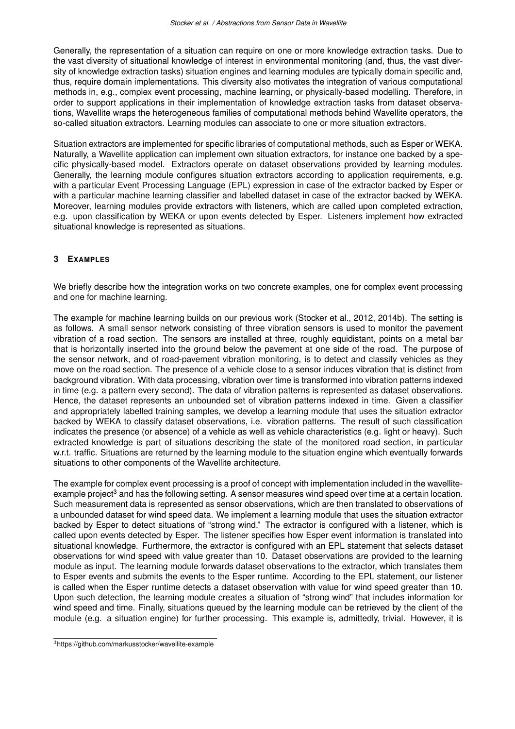Generally, the representation of a situation can require on one or more knowledge extraction tasks. Due to the vast diversity of situational knowledge of interest in environmental monitoring (and, thus, the vast diversity of knowledge extraction tasks) situation engines and learning modules are typically domain specific and, thus, require domain implementations. This diversity also motivates the integration of various computational methods in, e.g., complex event processing, machine learning, or physically-based modelling. Therefore, in order to support applications in their implementation of knowledge extraction tasks from dataset observations, Wavellite wraps the heterogeneous families of computational methods behind Wavellite operators, the so-called situation extractors. Learning modules can associate to one or more situation extractors.

Situation extractors are implemented for specific libraries of computational methods, such as Esper or WEKA. Naturally, a Wavellite application can implement own situation extractors, for instance one backed by a specific physically-based model. Extractors operate on dataset observations provided by learning modules. Generally, the learning module configures situation extractors according to application requirements, e.g. with a particular Event Processing Language (EPL) expression in case of the extractor backed by Esper or with a particular machine learning classifier and labelled dataset in case of the extractor backed by WEKA. Moreover, learning modules provide extractors with listeners, which are called upon completed extraction, e.g. upon classification by WEKA or upon events detected by Esper. Listeners implement how extracted situational knowledge is represented as situations.

#### **3 EXAMPLES**

We briefly describe how the integration works on two concrete examples, one for complex event processing and one for machine learning.

The example for machine learning builds on our previous work (Stocker et al., 2012, 2014b). The setting is as follows. A small sensor network consisting of three vibration sensors is used to monitor the pavement vibration of a road section. The sensors are installed at three, roughly equidistant, points on a metal bar that is horizontally inserted into the ground below the pavement at one side of the road. The purpose of the sensor network, and of road-pavement vibration monitoring, is to detect and classify vehicles as they move on the road section. The presence of a vehicle close to a sensor induces vibration that is distinct from background vibration. With data processing, vibration over time is transformed into vibration patterns indexed in time (e.g. a pattern every second). The data of vibration patterns is represented as dataset observations. Hence, the dataset represents an unbounded set of vibration patterns indexed in time. Given a classifier and appropriately labelled training samples, we develop a learning module that uses the situation extractor backed by WEKA to classify dataset observations, i.e. vibration patterns. The result of such classification indicates the presence (or absence) of a vehicle as well as vehicle characteristics (e.g. light or heavy). Such extracted knowledge is part of situations describing the state of the monitored road section, in particular w.r.t. traffic. Situations are returned by the learning module to the situation engine which eventually forwards situations to other components of the Wavellite architecture.

The example for complex event processing is a proof of concept with implementation included in the wavelliteexample project<sup>3</sup> and has the following setting. A sensor measures wind speed over time at a certain location. Such measurement data is represented as sensor observations, which are then translated to observations of a unbounded dataset for wind speed data. We implement a learning module that uses the situation extractor backed by Esper to detect situations of "strong wind." The extractor is configured with a listener, which is called upon events detected by Esper. The listener specifies how Esper event information is translated into situational knowledge. Furthermore, the extractor is configured with an EPL statement that selects dataset observations for wind speed with value greater than 10. Dataset observations are provided to the learning module as input. The learning module forwards dataset observations to the extractor, which translates them to Esper events and submits the events to the Esper runtime. According to the EPL statement, our listener is called when the Esper runtime detects a dataset observation with value for wind speed greater than 10. Upon such detection, the learning module creates a situation of "strong wind" that includes information for wind speed and time. Finally, situations queued by the learning module can be retrieved by the client of the module (e.g. a situation engine) for further processing. This example is, admittedly, trivial. However, it is

<sup>3</sup>https://github.com/markusstocker/wavellite-example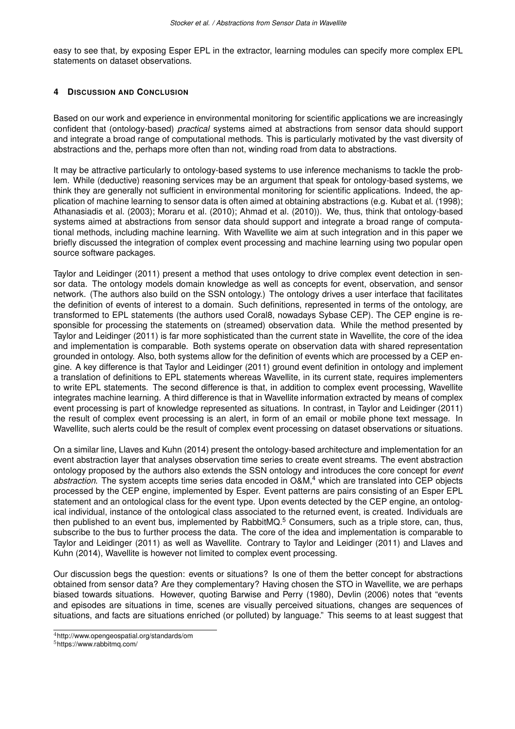easy to see that, by exposing Esper EPL in the extractor, learning modules can specify more complex EPL statements on dataset observations.

#### **4 DISCUSSION AND CONCLUSION**

Based on our work and experience in environmental monitoring for scientific applications we are increasingly confident that (ontology-based) *practical* systems aimed at abstractions from sensor data should support and integrate a broad range of computational methods. This is particularly motivated by the vast diversity of abstractions and the, perhaps more often than not, winding road from data to abstractions.

It may be attractive particularly to ontology-based systems to use inference mechanisms to tackle the problem. While (deductive) reasoning services may be an argument that speak for ontology-based systems, we think they are generally not sufficient in environmental monitoring for scientific applications. Indeed, the application of machine learning to sensor data is often aimed at obtaining abstractions (e.g. Kubat et al. (1998); Athanasiadis et al. (2003); Moraru et al. (2010); Ahmad et al. (2010)). We, thus, think that ontology-based systems aimed at abstractions from sensor data should support and integrate a broad range of computational methods, including machine learning. With Wavellite we aim at such integration and in this paper we briefly discussed the integration of complex event processing and machine learning using two popular open source software packages.

Taylor and Leidinger (2011) present a method that uses ontology to drive complex event detection in sensor data. The ontology models domain knowledge as well as concepts for event, observation, and sensor network. (The authors also build on the SSN ontology.) The ontology drives a user interface that facilitates the definition of events of interest to a domain. Such definitions, represented in terms of the ontology, are transformed to EPL statements (the authors used Coral8, nowadays Sybase CEP). The CEP engine is responsible for processing the statements on (streamed) observation data. While the method presented by Taylor and Leidinger (2011) is far more sophisticated than the current state in Wavellite, the core of the idea and implementation is comparable. Both systems operate on observation data with shared representation grounded in ontology. Also, both systems allow for the definition of events which are processed by a CEP engine. A key difference is that Taylor and Leidinger (2011) ground event definition in ontology and implement a translation of definitions to EPL statements whereas Wavellite, in its current state, requires implementers to write EPL statements. The second difference is that, in addition to complex event processing, Wavellite integrates machine learning. A third difference is that in Wavellite information extracted by means of complex event processing is part of knowledge represented as situations. In contrast, in Taylor and Leidinger (2011) the result of complex event processing is an alert, in form of an email or mobile phone text message. In Wavellite, such alerts could be the result of complex event processing on dataset observations or situations.

On a similar line, Llaves and Kuhn (2014) present the ontology-based architecture and implementation for an event abstraction layer that analyses observation time series to create event streams. The event abstraction ontology proposed by the authors also extends the SSN ontology and introduces the core concept for *event abstraction*. The system accepts time series data encoded in O&M,<sup>4</sup> which are translated into CEP objects processed by the CEP engine, implemented by Esper. Event patterns are pairs consisting of an Esper EPL statement and an ontological class for the event type. Upon events detected by the CEP engine, an ontological individual, instance of the ontological class associated to the returned event, is created. Individuals are then published to an event bus, implemented by RabbitMQ.<sup>5</sup> Consumers, such as a triple store, can, thus, subscribe to the bus to further process the data. The core of the idea and implementation is comparable to Taylor and Leidinger (2011) as well as Wavellite. Contrary to Taylor and Leidinger (2011) and Llaves and Kuhn (2014), Wavellite is however not limited to complex event processing.

Our discussion begs the question: events or situations? Is one of them the better concept for abstractions obtained from sensor data? Are they complementary? Having chosen the STO in Wavellite, we are perhaps biased towards situations. However, quoting Barwise and Perry (1980), Devlin (2006) notes that "events and episodes are situations in time, scenes are visually perceived situations, changes are sequences of situations, and facts are situations enriched (or polluted) by language." This seems to at least suggest that

<sup>4</sup>http://www.opengeospatial.org/standards/om

<sup>5</sup>https://www.rabbitmq.com/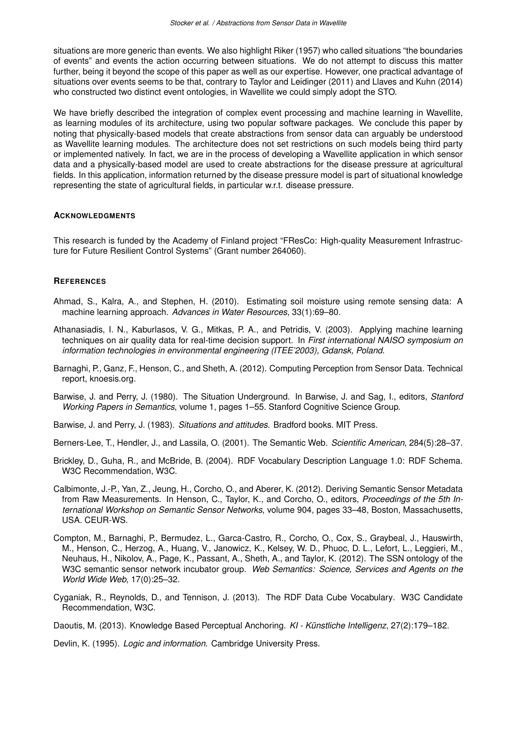situations are more generic than events. We also highlight Riker (1957) who called situations "the boundaries of events" and events the action occurring between situations. We do not attempt to discuss this matter further, being it beyond the scope of this paper as well as our expertise. However, one practical advantage of situations over events seems to be that, contrary to Taylor and Leidinger (2011) and Llaves and Kuhn (2014) who constructed two distinct event ontologies, in Wavellite we could simply adopt the STO.

We have briefly described the integration of complex event processing and machine learning in Wavellite, as learning modules of its architecture, using two popular software packages. We conclude this paper by noting that physically-based models that create abstractions from sensor data can arguably be understood as Wavellite learning modules. The architecture does not set restrictions on such models being third party or implemented natively. In fact, we are in the process of developing a Wavellite application in which sensor data and a physically-based model are used to create abstractions for the disease pressure at agricultural fields. In this application, information returned by the disease pressure model is part of situational knowledge representing the state of agricultural fields, in particular w.r.t. disease pressure.

#### **ACKNOWLEDGMENTS**

This research is funded by the Academy of Finland project "FResCo: High-quality Measurement Infrastructure for Future Resilient Control Systems" (Grant number 264060).

#### **REFERENCES**

- Ahmad, S., Kalra, A., and Stephen, H. (2010). Estimating soil moisture using remote sensing data: A machine learning approach. *Advances in Water Resources*, 33(1):69–80.
- Athanasiadis, I. N., Kaburlasos, V. G., Mitkas, P. A., and Petridis, V. (2003). Applying machine learning techniques on air quality data for real-time decision support. In *First international NAISO symposium on information technologies in environmental engineering (ITEE'2003), Gdansk, Poland*.
- Barnaghi, P., Ganz, F., Henson, C., and Sheth, A. (2012). Computing Perception from Sensor Data. Technical report, knoesis.org.
- Barwise, J. and Perry, J. (1980). The Situation Underground. In Barwise, J. and Sag, I., editors, *Stanford Working Papers in Semantics*, volume 1, pages 1–55. Stanford Cognitive Science Group.
- Barwise, J. and Perry, J. (1983). *Situations and attitudes*. Bradford books. MIT Press.
- Berners-Lee, T., Hendler, J., and Lassila, O. (2001). The Semantic Web. *Scientific American*, 284(5):28–37.
- Brickley, D., Guha, R., and McBride, B. (2004). RDF Vocabulary Description Language 1.0: RDF Schema. W3C Recommendation, W3C.
- Calbimonte, J.-P., Yan, Z., Jeung, H., Corcho, O., and Aberer, K. (2012). Deriving Semantic Sensor Metadata from Raw Measurements. In Henson, C., Taylor, K., and Corcho, O., editors, *Proceedings of the 5th International Workshop on Semantic Sensor Networks*, volume 904, pages 33–48, Boston, Massachusetts, USA. CEUR-WS.
- Compton, M., Barnaghi, P., Bermudez, L., Garca-Castro, R., Corcho, O., Cox, S., Graybeal, J., Hauswirth, M., Henson, C., Herzog, A., Huang, V., Janowicz, K., Kelsey, W. D., Phuoc, D. L., Lefort, L., Leggieri, M., Neuhaus, H., Nikolov, A., Page, K., Passant, A., Sheth, A., and Taylor, K. (2012). The SSN ontology of the W3C semantic sensor network incubator group. *Web Semantics: Science, Services and Agents on the World Wide Web*, 17(0):25–32.
- Cyganiak, R., Reynolds, D., and Tennison, J. (2013). The RDF Data Cube Vocabulary. W3C Candidate Recommendation, W3C.
- Daoutis, M. (2013). Knowledge Based Perceptual Anchoring. *KI Künstliche Intelligenz*, 27(2):179–182.

Devlin, K. (1995). *Logic and information*. Cambridge University Press.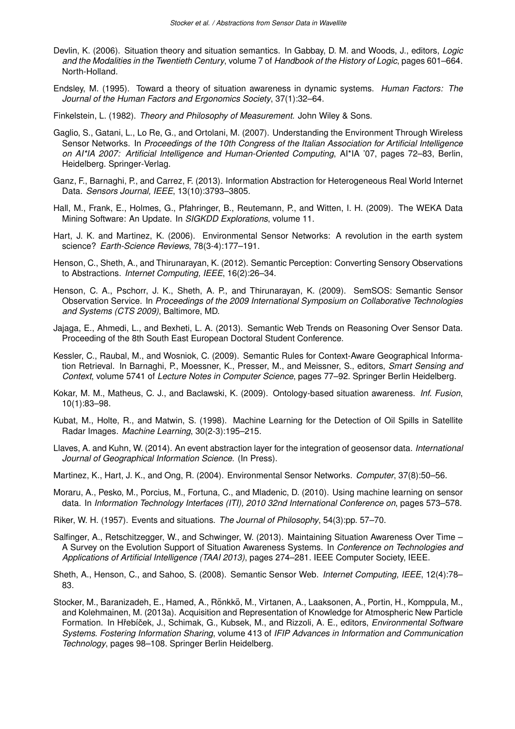- Devlin, K. (2006). Situation theory and situation semantics. In Gabbay, D. M. and Woods, J., editors, *Logic and the Modalities in the Twentieth Century*, volume 7 of *Handbook of the History of Logic*, pages 601–664. North-Holland.
- Endsley, M. (1995). Toward a theory of situation awareness in dynamic systems. *Human Factors: The Journal of the Human Factors and Ergonomics Society*, 37(1):32–64.
- Finkelstein, L. (1982). *Theory and Philosophy of Measurement*. John Wiley & Sons.
- Gaglio, S., Gatani, L., Lo Re, G., and Ortolani, M. (2007). Understanding the Environment Through Wireless Sensor Networks. In *Proceedings of the 10th Congress of the Italian Association for Artificial Intelligence on AI\*IA 2007: Artificial Intelligence and Human-Oriented Computing*, AI\*IA '07, pages 72–83, Berlin, Heidelberg. Springer-Verlag.
- Ganz, F., Barnaghi, P., and Carrez, F. (2013). Information Abstraction for Heterogeneous Real World Internet Data. *Sensors Journal, IEEE*, 13(10):3793–3805.
- Hall, M., Frank, E., Holmes, G., Pfahringer, B., Reutemann, P., and Witten, I. H. (2009). The WEKA Data Mining Software: An Update. In *SIGKDD Explorations*, volume 11.
- Hart, J. K. and Martinez, K. (2006). Environmental Sensor Networks: A revolution in the earth system science? *Earth-Science Reviews*, 78(3-4):177–191.
- Henson, C., Sheth, A., and Thirunarayan, K. (2012). Semantic Perception: Converting Sensory Observations to Abstractions. *Internet Computing, IEEE*, 16(2):26–34.
- Henson, C. A., Pschorr, J. K., Sheth, A. P., and Thirunarayan, K. (2009). SemSOS: Semantic Sensor Observation Service. In *Proceedings of the 2009 International Symposium on Collaborative Technologies and Systems (CTS 2009)*, Baltimore, MD.
- Jajaga, E., Ahmedi, L., and Bexheti, L. A. (2013). Semantic Web Trends on Reasoning Over Sensor Data. Proceeding of the 8th South East European Doctoral Student Conference.
- Kessler, C., Raubal, M., and Wosniok, C. (2009). Semantic Rules for Context-Aware Geographical Information Retrieval. In Barnaghi, P., Moessner, K., Presser, M., and Meissner, S., editors, *Smart Sensing and Context*, volume 5741 of *Lecture Notes in Computer Science*, pages 77–92. Springer Berlin Heidelberg.
- Kokar, M. M., Matheus, C. J., and Baclawski, K. (2009). Ontology-based situation awareness. *Inf. Fusion*, 10(1):83–98.
- Kubat, M., Holte, R., and Matwin, S. (1998). Machine Learning for the Detection of Oil Spills in Satellite Radar Images. *Machine Learning*, 30(2-3):195–215.
- Llaves, A. and Kuhn, W. (2014). An event abstraction layer for the integration of geosensor data. *International Journal of Geographical Information Science*. (In Press).
- Martinez, K., Hart, J. K., and Ong, R. (2004). Environmental Sensor Networks. *Computer*, 37(8):50–56.
- Moraru, A., Pesko, M., Porcius, M., Fortuna, C., and Mladenic, D. (2010). Using machine learning on sensor data. In *Information Technology Interfaces (ITI), 2010 32nd International Conference on*, pages 573–578.
- Riker, W. H. (1957). Events and situations. *The Journal of Philosophy*, 54(3):pp. 57–70.
- Salfinger, A., Retschitzegger, W., and Schwinger, W. (2013). Maintaining Situation Awareness Over Time A Survey on the Evolution Support of Situation Awareness Systems. In *Conference on Technologies and Applications of Artificial Intelligence (TAAI 2013)*, pages 274–281. IEEE Computer Society, IEEE.
- Sheth, A., Henson, C., and Sahoo, S. (2008). Semantic Sensor Web. *Internet Computing, IEEE*, 12(4):78– 83.
- Stocker, M., Baranizadeh, E., Hamed, A., Rönkkö, M., Virtanen, A., Laaksonen, A., Portin, H., Komppula, M., and Kolehmainen, M. (2013a). Acquisition and Representation of Knowledge for Atmospheric New Particle Formation. In Hřebíček, J., Schimak, G., Kubsek, M., and Rizzoli, A. E., editors, Environmental Software *Systems. Fostering Information Sharing*, volume 413 of *IFIP Advances in Information and Communication Technology*, pages 98–108. Springer Berlin Heidelberg.